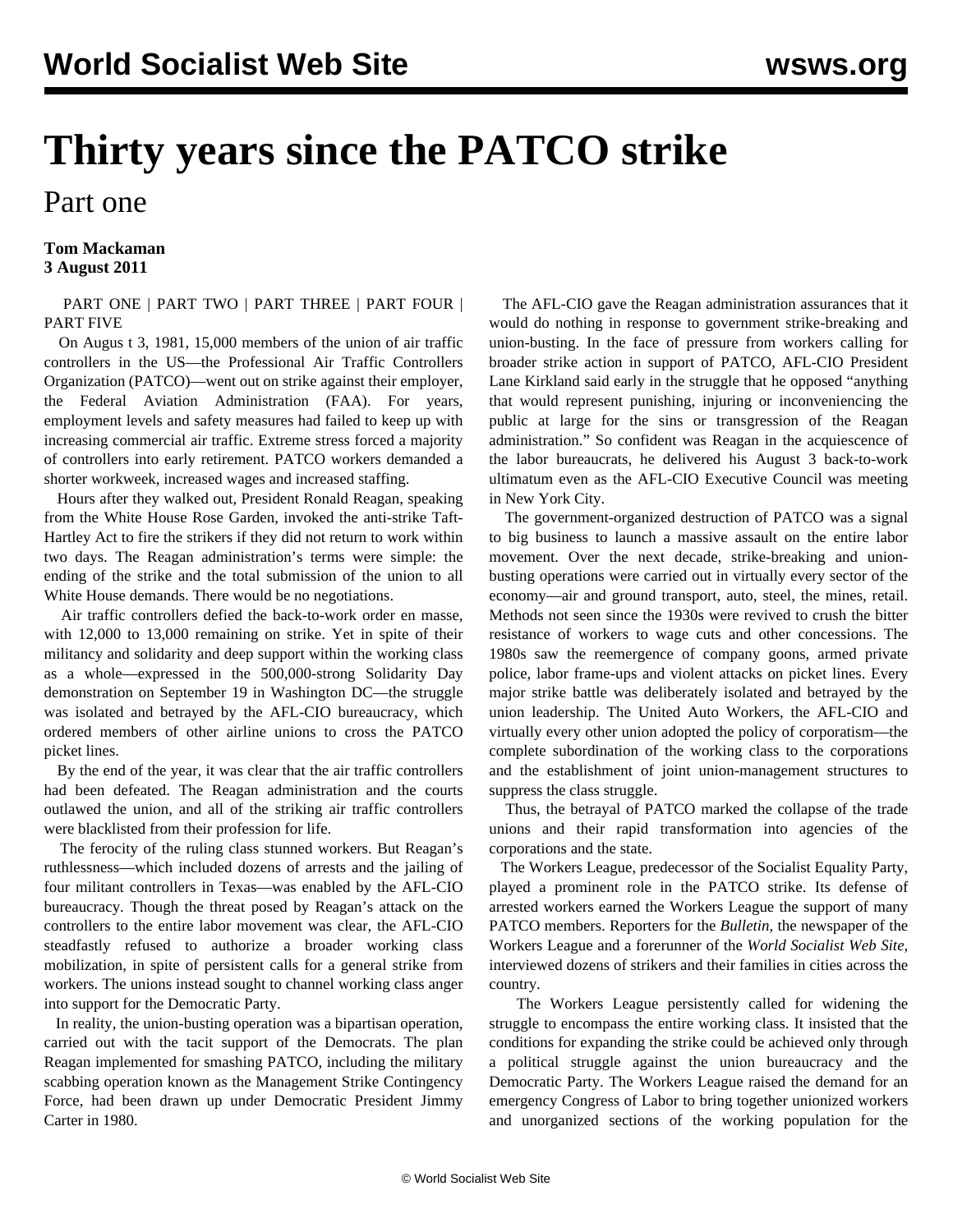# **Thirty years since the PATCO strike**

## Part one

#### **Tom Mackaman 3 August 2011**

#### [PART ONE](/en/articles/2011/08/pat1-a03.html) | [PART TWO](/en/articles/2011/08/patc-a04.html) | [PART THREE](/en/articles/2011/08/patc-a05.html) | [PART FOUR](/en/articles/2011/08/patc-a06.html) | [PART FIVE](/en/articles/2011/08/patc-a13.html)

 On Augus t 3, 1981, 15,000 members of the union of air traffic controllers in the US—the Professional Air Traffic Controllers Organization (PATCO)—went out on strike against their employer, the Federal Aviation Administration (FAA). For years, employment levels and safety measures had failed to keep up with increasing commercial air traffic. Extreme stress forced a majority of controllers into early retirement. PATCO workers demanded a shorter workweek, increased wages and increased staffing.

 Hours after they walked out, President Ronald Reagan, speaking from the White House Rose Garden, invoked the anti-strike Taft-Hartley Act to fire the strikers if they did not return to work within two days. The Reagan administration's terms were simple: the ending of the strike and the total submission of the union to all White House demands. There would be no negotiations.

 Air traffic controllers defied the back-to-work order en masse, with 12,000 to 13,000 remaining on strike. Yet in spite of their militancy and solidarity and deep support within the working class as a whole—expressed in the 500,000-strong Solidarity Day demonstration on September 19 in Washington DC—the struggle was isolated and betrayed by the AFL-CIO bureaucracy, which ordered members of other airline unions to cross the PATCO picket lines.

 By the end of the year, it was clear that the air traffic controllers had been defeated. The Reagan administration and the courts outlawed the union, and all of the striking air traffic controllers were blacklisted from their profession for life.

 The ferocity of the ruling class stunned workers. But Reagan's ruthlessness—which included dozens of arrests and the jailing of four militant controllers in Texas—was enabled by the AFL-CIO bureaucracy. Though the threat posed by Reagan's attack on the controllers to the entire labor movement was clear, the AFL-CIO steadfastly refused to authorize a broader working class mobilization, in spite of persistent calls for a general strike from workers. The unions instead sought to channel working class anger into support for the Democratic Party.

 In reality, the union-busting operation was a bipartisan operation, carried out with the tacit support of the Democrats. The plan Reagan implemented for smashing PATCO, including the military scabbing operation known as the Management Strike Contingency Force, had been drawn up under Democratic President Jimmy Carter in 1980.

 The AFL-CIO gave the Reagan administration assurances that it would do nothing in response to government strike-breaking and union-busting. In the face of pressure from workers calling for broader strike action in support of PATCO, AFL-CIO President Lane Kirkland said early in the struggle that he opposed "anything that would represent punishing, injuring or inconveniencing the public at large for the sins or transgression of the Reagan administration." So confident was Reagan in the acquiescence of the labor bureaucrats, he delivered his August 3 back-to-work ultimatum even as the AFL-CIO Executive Council was meeting in New York City.

 The government-organized destruction of PATCO was a signal to big business to launch a massive assault on the entire labor movement. Over the next decade, strike-breaking and unionbusting operations were carried out in virtually every sector of the economy—air and ground transport, auto, steel, the mines, retail. Methods not seen since the 1930s were revived to crush the bitter resistance of workers to wage cuts and other concessions. The 1980s saw the reemergence of company goons, armed private police, labor frame-ups and violent attacks on picket lines. Every major strike battle was deliberately isolated and betrayed by the union leadership. The United Auto Workers, the AFL-CIO and virtually every other union adopted the policy of corporatism—the complete subordination of the working class to the corporations and the establishment of joint union-management structures to suppress the class struggle.

 Thus, the betrayal of PATCO marked the collapse of the trade unions and their rapid transformation into agencies of the corporations and the state.

 The Workers League, predecessor of the Socialist Equality Party, played a prominent role in the PATCO strike. Its defense of arrested workers earned the Workers League the support of many PATCO members. Reporters for the *Bulletin*, the newspaper of the Workers League and a forerunner of the *World Socialist Web Site*, interviewed dozens of strikers and their families in cities across the country.

 The Workers League persistently called for widening the struggle to encompass the entire working class. It insisted that the conditions for expanding the strike could be achieved only through a political struggle against the union bureaucracy and the Democratic Party. The Workers League raised the demand for an emergency Congress of Labor to bring together unionized workers and unorganized sections of the working population for the